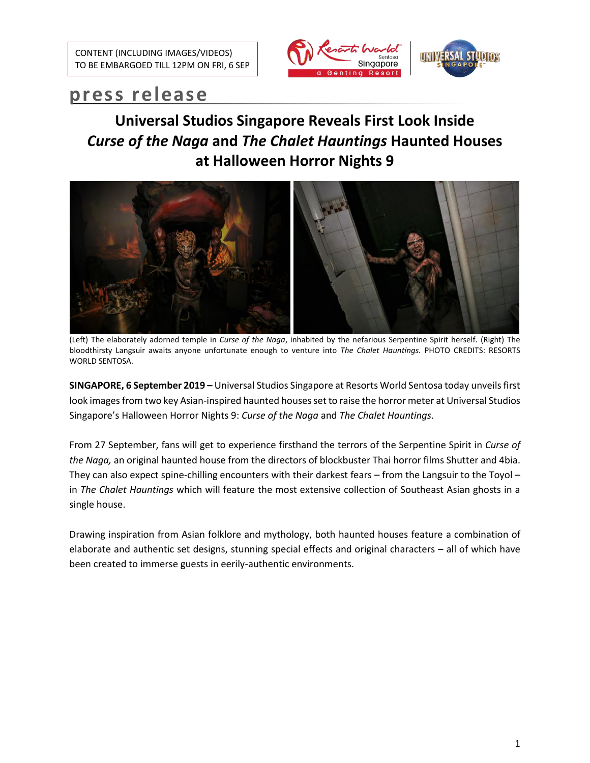

# **press release**

## **Universal Studios Singapore Reveals First Look Inside**  *Curse of the Naga* **and** *The Chalet Hauntings* **Haunted Houses at Halloween Horror Nights 9**



(Left) The elaborately adorned temple in *Curse of the Naga*, inhabited by the nefarious Serpentine Spirit herself. (Right) The bloodthirsty Langsuir awaits anyone unfortunate enough to venture into *The Chalet Hauntings.* PHOTO CREDITS: RESORTS WORLD SENTOSA.

**SINGAPORE, 6 September 2019 –** Universal Studios Singapore at Resorts World Sentosa today unveils first look images from two key Asian-inspired haunted houses set to raise the horror meter at Universal Studios Singapore's Halloween Horror Nights 9: *Curse of the Naga* and *The Chalet Hauntings*.

From 27 September, fans will get to experience firsthand the terrors of the Serpentine Spirit in *Curse of the Naga,* an original haunted house from the directors of blockbuster Thai horror films Shutter and 4bia. They can also expect spine-chilling encounters with their darkest fears – from the Langsuir to the Toyol – in *The Chalet Hauntings* which will feature the most extensive collection of Southeast Asian ghosts in a single house.

Drawing inspiration from Asian folklore and mythology, both haunted houses feature a combination of elaborate and authentic set designs, stunning special effects and original characters – all of which have been created to immerse guests in eerily-authentic environments.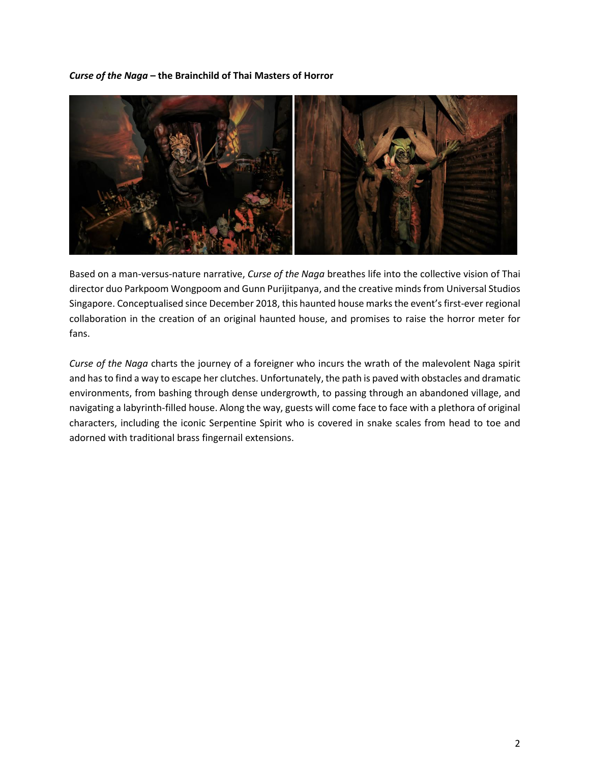### *Curse of the Naga* **– the Brainchild of Thai Masters of Horror**



Based on a man-versus-nature narrative, *Curse of the Naga* breathes life into the collective vision of Thai director duo Parkpoom Wongpoom and Gunn Purijitpanya, and the creative minds from Universal Studios Singapore. Conceptualised since December 2018, this haunted house marks the event's first-ever regional collaboration in the creation of an original haunted house, and promises to raise the horror meter for fans.

*Curse of the Naga* charts the journey of a foreigner who incurs the wrath of the malevolent Naga spirit and has to find a way to escape her clutches. Unfortunately, the path is paved with obstacles and dramatic environments, from bashing through dense undergrowth, to passing through an abandoned village, and navigating a labyrinth-filled house. Along the way, guests will come face to face with a plethora of original characters, including the iconic Serpentine Spirit who is covered in snake scales from head to toe and adorned with traditional brass fingernail extensions.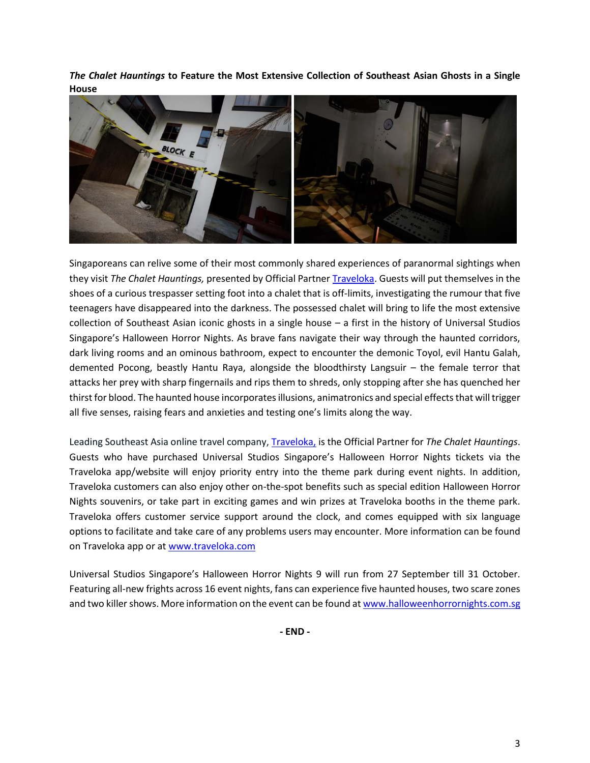*The Chalet Hauntings* **to Feature the Most Extensive Collection of Southeast Asian Ghosts in a Single House**



Singaporeans can relive some of their most commonly shared experiences of paranormal sightings when they visit *The Chalet Hauntings,* presented by Official Partner [Traveloka.](https://www.traveloka.com/) Guests will put themselves in the shoes of a curious trespasser setting foot into a chalet that is off-limits, investigating the rumour that five teenagers have disappeared into the darkness. The possessed chalet will bring to life the most extensive collection of Southeast Asian iconic ghosts in a single house – a first in the history of Universal Studios Singapore's Halloween Horror Nights. As brave fans navigate their way through the haunted corridors, dark living rooms and an ominous bathroom, expect to encounter the demonic Toyol, evil Hantu Galah, demented Pocong, beastly Hantu Raya, alongside the bloodthirsty Langsuir – the female terror that attacks her prey with sharp fingernails and rips them to shreds, only stopping after she has quenched her thirst for blood. The haunted house incorporates illusions, animatronics and special effects that will trigger all five senses, raising fears and anxieties and testing one's limits along the way.

Leading Southeast Asia online travel company, [Traveloka,](https://www.traveloka.com/) is the Official Partner for *The Chalet Hauntings*. Guests who have purchased Universal Studios Singapore's Halloween Horror Nights tickets via the Traveloka app/website will enjoy priority entry into the theme park during event nights. In addition, Traveloka customers can also enjoy other on-the-spot benefits such as special edition Halloween Horror Nights souvenirs, or take part in exciting games and win prizes at Traveloka booths in the theme park. Traveloka offers customer service support around the clock, and comes equipped with six language options to facilitate and take care of any problems users may encounter. More information can be found on Traveloka app or at [www.traveloka.com](file:///C:/Users/shaiful.malek/Desktop/www.traveloka.com)

Universal Studios Singapore's Halloween Horror Nights 9 will run from 27 September till 31 October. Featuring all-new frights across 16 event nights, fans can experience five haunted houses, two scare zones and two killer shows. More information on the event can be found a[t www.halloweenhorrornights.com.sg](file:///C:/Users/shaiful.malek/Desktop/For%20UPR/www.halloweenhorrornights.com.sg)

**- END -**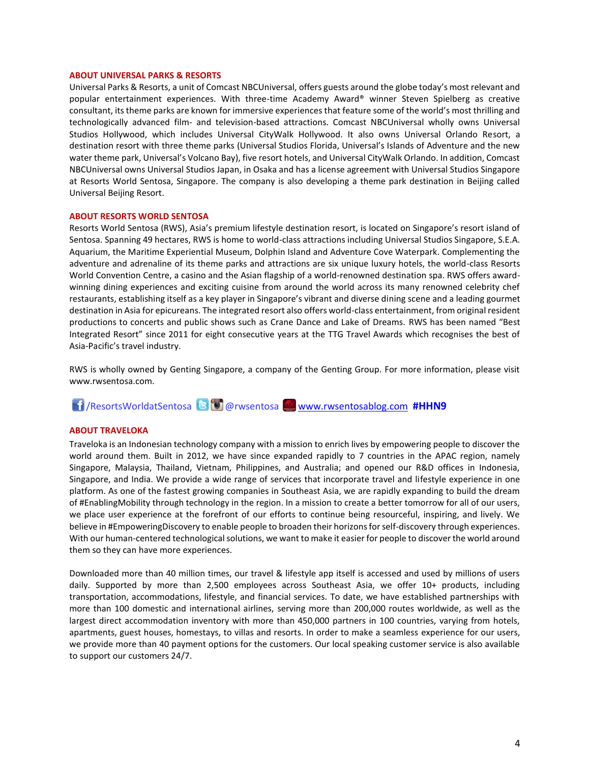#### **ABOUT UNIVERSAL PARKS & RESORTS**

Universal Parks & Resorts, a unit of Comcast NBCUniversal, offers guests around the globe today's most relevant and popular entertainment experiences. With three-time Academy Award® winner Steven Spielberg as creative consultant, its theme parks are known for immersive experiences that feature some of the world's most thrilling and technologically advanced film- and television-based attractions. Comcast NBCUniversal wholly owns Universal Studios Hollywood, which includes Universal CityWalk Hollywood. It also owns Universal Orlando Resort, a destination resort with three theme parks (Universal Studios Florida, Universal's Islands of Adventure and the new water theme park, Universal's Volcano Bay), five resort hotels, and Universal CityWalk Orlando. In addition, Comcast NBCUniversal owns Universal Studios Japan, in Osaka and has a license agreement with Universal Studios Singapore at Resorts World Sentosa, Singapore. The company is also developing a theme park destination in Beijing called Universal Beijing Resort.

#### **ABOUT RESORTS WORLD SENTOSA**

Resorts World Sentosa (RWS), Asia's premium lifestyle destination resort, is located on Singapore's resort island of Sentosa. Spanning 49 hectares, RWS is home to world-class attractions including Universal Studios Singapore, S.E.A. Aquarium, the Maritime Experiential Museum, Dolphin Island and Adventure Cove Waterpark. Complementing the adventure and adrenaline of its theme parks and attractions are six unique luxury hotels, the world-class Resorts World Convention Centre, a casino and the Asian flagship of a world-renowned destination spa. RWS offers awardwinning dining experiences and exciting cuisine from around the world across its many renowned celebrity chef restaurants, establishing itself as a key player in Singapore's vibrant and diverse dining scene and a leading gourmet destination in Asia for epicureans. The integrated resort also offers world-class entertainment, from original resident productions to concerts and public shows such as Crane Dance and Lake of Dreams. RWS has been named "Best Integrated Resort" since 2011 for eight consecutive years at the TTG Travel Awards which recognises the best of Asia-Pacific's travel industry.

RWS is wholly owned by Genting Singapore, a company of the Genting Group. For more information, please visit [www.rwsentosa.com.](http://www.rwsentosa.com/)

## /ResortsWorldatSentosa @rwsentosa [www.rwsentosablog.com](http://www.rwsentosablog.com/) **#HHN9**

#### **ABOUT TRAVELOKA**

Traveloka is an Indonesian technology company with a mission to enrich lives by empowering people to discover the world around them. Built in 2012, we have since expanded rapidly to 7 countries in the APAC region, namely Singapore, Malaysia, Thailand, Vietnam, Philippines, and Australia; and opened our R&D offices in Indonesia, Singapore, and India. We provide a wide range of services that incorporate travel and lifestyle experience in one platform. As one of the fastest growing companies in Southeast Asia, we are rapidly expanding to build the dream of #EnablingMobility through technology in the region. In a mission to create a better tomorrow for all of our users, we place user experience at the forefront of our efforts to continue being resourceful, inspiring, and lively. We believe in #EmpoweringDiscovery to enable people to broaden their horizons for self-discovery through experiences. With our human-centered technological solutions, we want to make it easier for people to discover the world around them so they can have more experiences.

Downloaded more than 40 million times, our travel & lifestyle app itself is accessed and used by millions of users daily. Supported by more than 2,500 employees across Southeast Asia, we offer 10+ products, including transportation, accommodations, lifestyle, and financial services. To date, we have established partnerships with more than 100 domestic and international airlines, serving more than 200,000 routes worldwide, as well as the largest direct accommodation inventory with more than 450,000 partners in 100 countries, varying from hotels, apartments, guest houses, homestays, to villas and resorts. In order to make a seamless experience for our users, we provide more than 40 payment options for the customers. Our local speaking customer service is also available to support our customers 24/7.